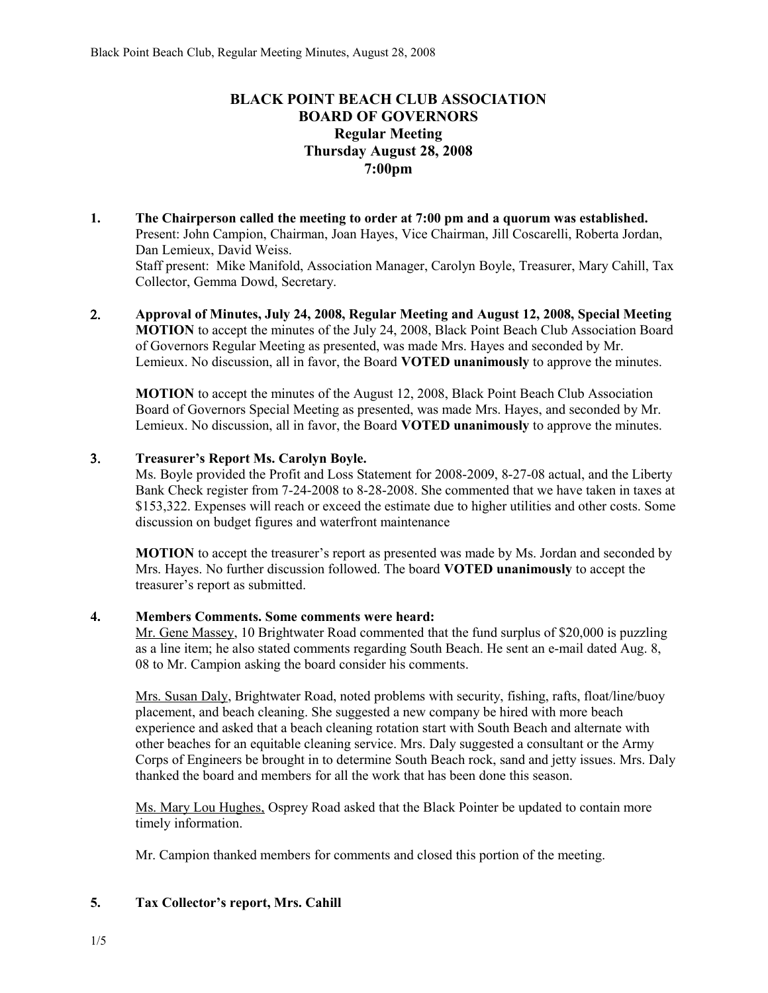# **BLACK POINT BEACH CLUB ASSOCIATION BOARD OF GOVERNORS Regular Meeting Thursday August 28, 2008 7:00pm**

- **1. The Chairperson called the meeting to order at 7:00 pm and a quorum was established.**  Present: John Campion, Chairman, Joan Hayes, Vice Chairman, Jill Coscarelli, Roberta Jordan, Dan Lemieux, David Weiss. Staff present: Mike Manifold, Association Manager, Carolyn Boyle, Treasurer, Mary Cahill, Tax Collector, Gemma Dowd, Secretary.
- 2. **Approval of Minutes, July 24, 2008, Regular Meeting and August 12, 2008, Special Meeting MOTION** to accept the minutes of the July 24, 2008, Black Point Beach Club Association Board of Governors Regular Meeting as presented, was made Mrs. Hayes and seconded by Mr. Lemieux. No discussion, all in favor, the Board **VOTED unanimously** to approve the minutes.

**MOTION** to accept the minutes of the August 12, 2008, Black Point Beach Club Association Board of Governors Special Meeting as presented, was made Mrs. Hayes, and seconded by Mr. Lemieux. No discussion, all in favor, the Board **VOTED unanimously** to approve the minutes.

### 3. **Treasurer's Report Ms. Carolyn Boyle.**

Ms. Boyle provided the Profit and Loss Statement for 2008-2009, 8-27-08 actual, and the Liberty Bank Check register from 7-24-2008 to 8-28-2008. She commented that we have taken in taxes at \$153,322. Expenses will reach or exceed the estimate due to higher utilities and other costs. Some discussion on budget figures and waterfront maintenance

**MOTION** to accept the treasurer's report as presented was made by Ms. Jordan and seconded by Mrs. Hayes. No further discussion followed. The board **VOTED unanimously** to accept the treasurer's report as submitted.

### **4. Members Comments. Some comments were heard:**

Mr. Gene Massey, 10 Brightwater Road commented that the fund surplus of \$20,000 is puzzling as a line item; he also stated comments regarding South Beach. He sent an e-mail dated Aug. 8, 08 to Mr. Campion asking the board consider his comments.

Mrs. Susan Daly, Brightwater Road, noted problems with security, fishing, rafts, float/line/buoy placement, and beach cleaning. She suggested a new company be hired with more beach experience and asked that a beach cleaning rotation start with South Beach and alternate with other beaches for an equitable cleaning service. Mrs. Daly suggested a consultant or the Army Corps of Engineers be brought in to determine South Beach rock, sand and jetty issues. Mrs. Daly thanked the board and members for all the work that has been done this season.

Ms. Mary Lou Hughes, Osprey Road asked that the Black Pointer be updated to contain more timely information.

Mr. Campion thanked members for comments and closed this portion of the meeting.

# **5. Tax Collector's report, Mrs. Cahill**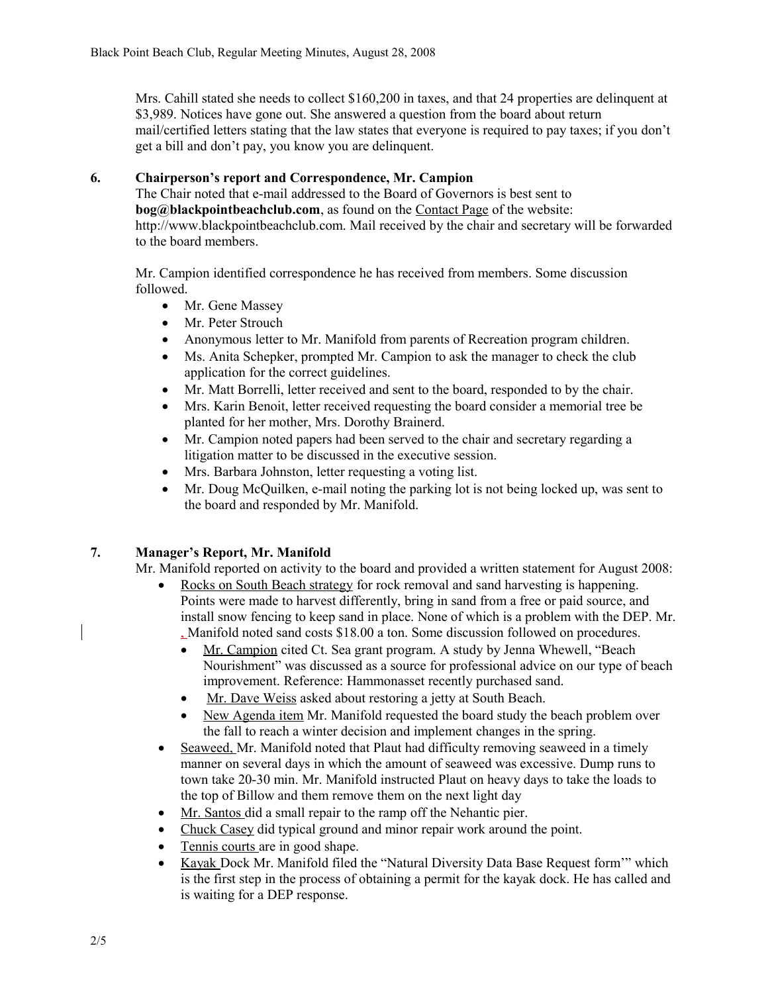Mrs. Cahill stated she needs to collect \$160,200 in taxes, and that 24 properties are delinquent at \$3,989. Notices have gone out. She answered a question from the board about return mail/certified letters stating that the law states that everyone is required to pay taxes; if you don't get a bill and don't pay, you know you are delinquent.

# **6. Chairperson's report and Correspondence, Mr. Campion**

The Chair noted that e-mail addressed to the Board of Governors is best sent to **bog@blackpointbeachclub.com**, as found on the Contact Page of the website: http://www.blackpointbeachclub.com. Mail received by the chair and secretary will be forwarded to the board members.

Mr. Campion identified correspondence he has received from members. Some discussion followed.

- Mr. Gene Massey
- Mr. Peter Strouch
- Anonymous letter to Mr. Manifold from parents of Recreation program children.
- Ms. Anita Schepker, prompted Mr. Campion to ask the manager to check the club application for the correct guidelines.
- Mr. Matt Borrelli, letter received and sent to the board, responded to by the chair.
- Mrs. Karin Benoit, letter received requesting the board consider a memorial tree be planted for her mother, Mrs. Dorothy Brainerd.
- Mr. Campion noted papers had been served to the chair and secretary regarding a litigation matter to be discussed in the executive session.
- Mrs. Barbara Johnston, letter requesting a voting list.
- Mr. Doug McQuilken, e-mail noting the parking lot is not being locked up, was sent to the board and responded by Mr. Manifold.

# **7. Manager's Report, Mr. Manifold**

Mr. Manifold reported on activity to the board and provided a written statement for August 2008:

- Rocks on South Beach strategy for rock removal and sand harvesting is happening. Points were made to harvest differently, bring in sand from a free or paid source, and install snow fencing to keep sand in place. None of which is a problem with the DEP. Mr. , Manifold noted sand costs \$18.00 a ton. Some discussion followed on procedures.
	- Mr. Campion cited Ct. Sea grant program. A study by Jenna Whewell, "Beach Nourishment" was discussed as a source for professional advice on our type of beach improvement. Reference: Hammonasset recently purchased sand.
	- Mr. Dave Weiss asked about restoring a jetty at South Beach.
	- New Agenda item Mr. Manifold requested the board study the beach problem over the fall to reach a winter decision and implement changes in the spring.
- Seaweed, Mr. Manifold noted that Plaut had difficulty removing seaweed in a timely manner on several days in which the amount of seaweed was excessive. Dump runs to town take 20-30 min. Mr. Manifold instructed Plaut on heavy days to take the loads to the top of Billow and them remove them on the next light day
- Mr. Santos did a small repair to the ramp off the Nehantic pier.
- Chuck Casey did typical ground and minor repair work around the point.
- Tennis courts are in good shape.
- Kayak Dock Mr. Manifold filed the "Natural Diversity Data Base Request form'" which is the first step in the process of obtaining a permit for the kayak dock. He has called and is waiting for a DEP response.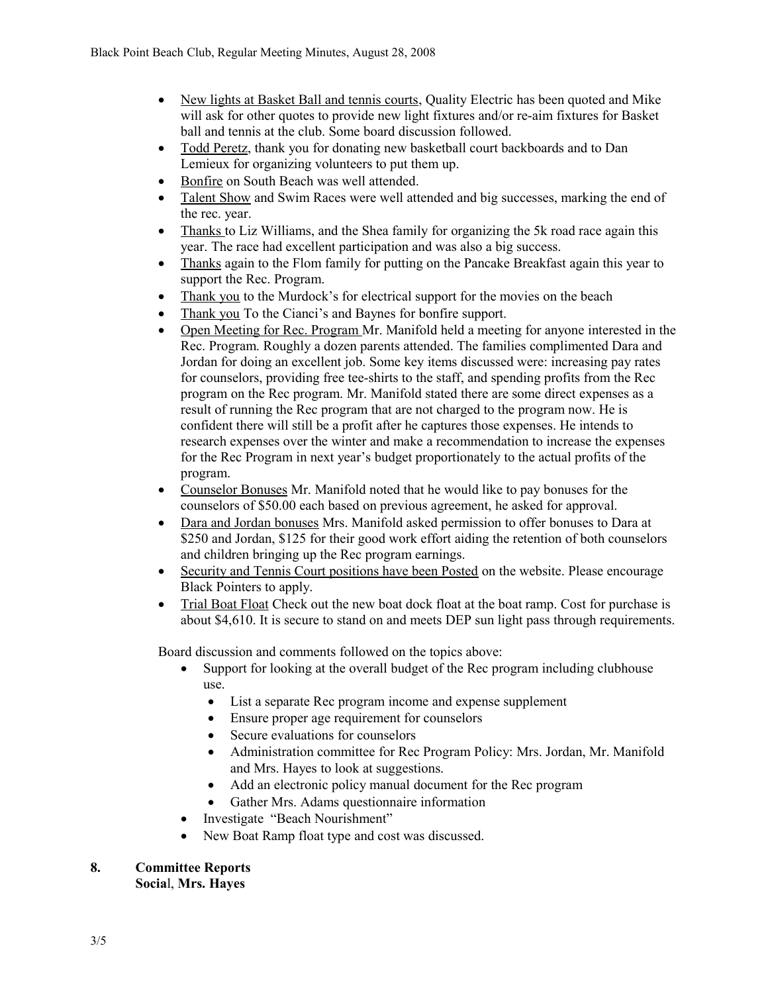- New lights at Basket Ball and tennis courts, Quality Electric has been quoted and Mike will ask for other quotes to provide new light fixtures and/or re-aim fixtures for Basket ball and tennis at the club. Some board discussion followed.
- Todd Peretz, thank you for donating new basketball court backboards and to Dan Lemieux for organizing volunteers to put them up.
- Bonfire on South Beach was well attended.
- Talent Show and Swim Races were well attended and big successes, marking the end of the rec. year.
- Thanks to Liz Williams, and the Shea family for organizing the 5k road race again this year. The race had excellent participation and was also a big success.
- Thanks again to the Flom family for putting on the Pancake Breakfast again this year to support the Rec. Program.
- Thank you to the Murdock's for electrical support for the movies on the beach
- Thank you To the Cianci's and Baynes for bonfire support.
- Open Meeting for Rec. Program Mr. Manifold held a meeting for anyone interested in the Rec. Program. Roughly a dozen parents attended. The families complimented Dara and Jordan for doing an excellent job. Some key items discussed were: increasing pay rates for counselors, providing free tee-shirts to the staff, and spending profits from the Rec program on the Rec program. Mr. Manifold stated there are some direct expenses as a result of running the Rec program that are not charged to the program now. He is confident there will still be a profit after he captures those expenses. He intends to research expenses over the winter and make a recommendation to increase the expenses for the Rec Program in next year's budget proportionately to the actual profits of the program.
- Counselor Bonuses Mr. Manifold noted that he would like to pay bonuses for the counselors of \$50.00 each based on previous agreement, he asked for approval.
- Dara and Jordan bonuses Mrs. Manifold asked permission to offer bonuses to Dara at \$250 and Jordan, \$125 for their good work effort aiding the retention of both counselors and children bringing up the Rec program earnings.
- Security and Tennis Court positions have been Posted on the website. Please encourage Black Pointers to apply.
- Trial Boat Float Check out the new boat dock float at the boat ramp. Cost for purchase is about \$4,610. It is secure to stand on and meets DEP sun light pass through requirements.

Board discussion and comments followed on the topics above:

- Support for looking at the overall budget of the Rec program including clubhouse use.
	- List a separate Rec program income and expense supplement
	- Ensure proper age requirement for counselors
	- Secure evaluations for counselors
	- Administration committee for Rec Program Policy: Mrs. Jordan, Mr. Manifold and Mrs. Hayes to look at suggestions.
	- Add an electronic policy manual document for the Rec program
	- Gather Mrs. Adams questionnaire information
- Investigate "Beach Nourishment"
- New Boat Ramp float type and cost was discussed.

# **8. Committee Reports**

**Socia**l, **Mrs. Hayes**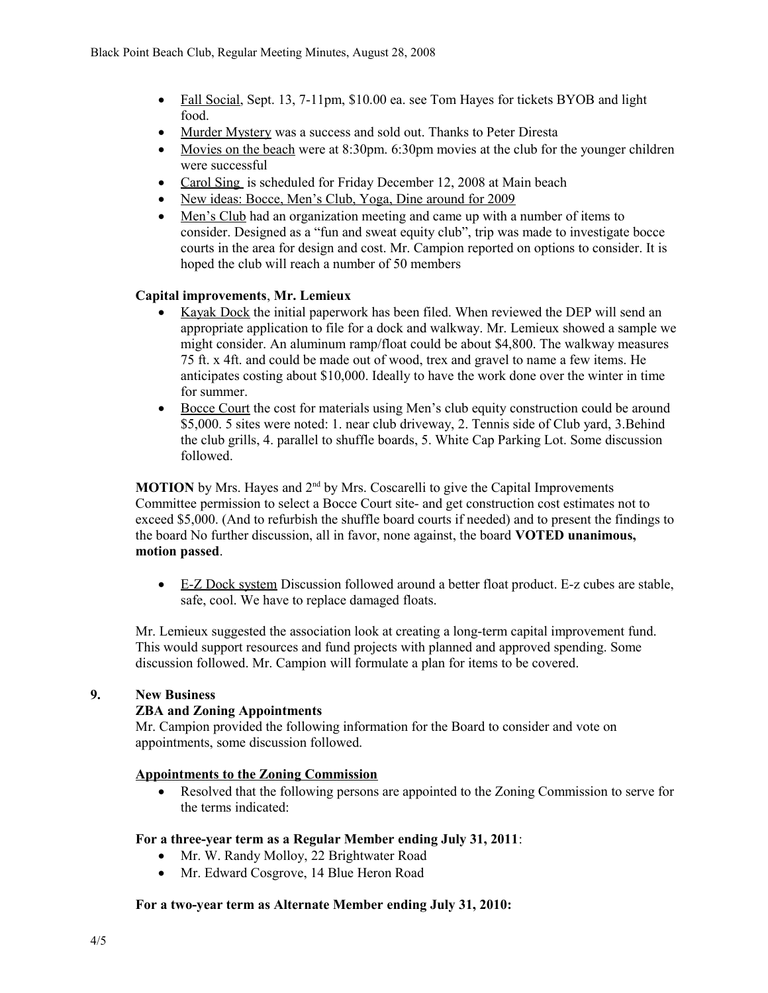- Fall Social, Sept. 13, 7-11pm, \$10.00 ea. see Tom Hayes for tickets BYOB and light food.
- Murder Mystery was a success and sold out. Thanks to Peter Diresta
- Movies on the beach were at 8:30pm. 6:30pm movies at the club for the younger children were successful
- Carol Sing is scheduled for Friday December 12, 2008 at Main beach
- New ideas: Bocce, Men's Club, Yoga, Dine around for 2009
- Men's Club had an organization meeting and came up with a number of items to consider. Designed as a "fun and sweat equity club", trip was made to investigate bocce courts in the area for design and cost. Mr. Campion reported on options to consider. It is hoped the club will reach a number of 50 members

### **Capital improvements**, **Mr. Lemieux**

- Kayak Dock the initial paperwork has been filed. When reviewed the DEP will send an appropriate application to file for a dock and walkway. Mr. Lemieux showed a sample we might consider. An aluminum ramp/float could be about \$4,800. The walkway measures 75 ft. x 4ft. and could be made out of wood, trex and gravel to name a few items. He anticipates costing about \$10,000. Ideally to have the work done over the winter in time for summer.
- Bocce Court the cost for materials using Men's club equity construction could be around \$5,000. 5 sites were noted: 1. near club driveway, 2. Tennis side of Club yard, 3.Behind the club grills, 4. parallel to shuffle boards, 5. White Cap Parking Lot. Some discussion followed.

**MOTION** by Mrs. Hayes and 2<sup>nd</sup> by Mrs. Coscarelli to give the Capital Improvements Committee permission to select a Bocce Court site- and get construction cost estimates not to exceed \$5,000. (And to refurbish the shuffle board courts if needed) and to present the findings to the board No further discussion, all in favor, none against, the board **VOTED unanimous, motion passed**.

 E-Z Dock system Discussion followed around a better float product. E-z cubes are stable, safe, cool. We have to replace damaged floats.

Mr. Lemieux suggested the association look at creating a long-term capital improvement fund. This would support resources and fund projects with planned and approved spending. Some discussion followed. Mr. Campion will formulate a plan for items to be covered.

#### **9. New Business**

#### **ZBA and Zoning Appointments**

Mr. Campion provided the following information for the Board to consider and vote on appointments, some discussion followed.

#### **Appointments to the Zoning Commission**

• Resolved that the following persons are appointed to the Zoning Commission to serve for the terms indicated:

#### **For a three-year term as a Regular Member ending July 31, 2011**:

- Mr. W. Randy Molloy, 22 Brightwater Road
- Mr. Edward Cosgrove, 14 Blue Heron Road

#### **For a two-year term as Alternate Member ending July 31, 2010:**